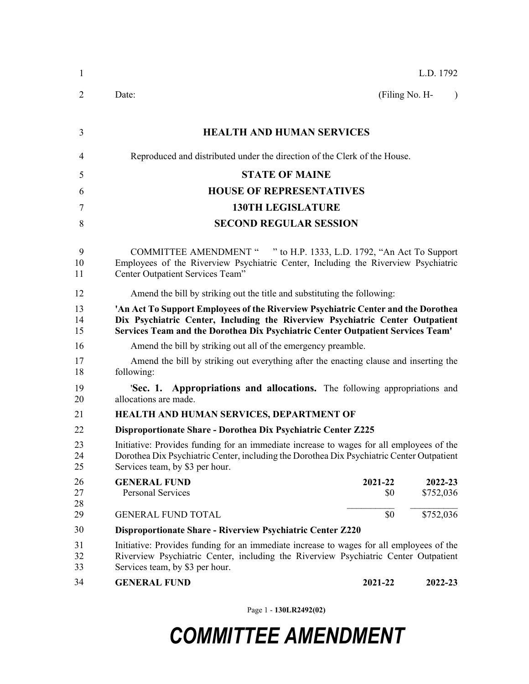| 1              | L.D. 1792                                                                                                                                                                                                                                             |  |  |  |
|----------------|-------------------------------------------------------------------------------------------------------------------------------------------------------------------------------------------------------------------------------------------------------|--|--|--|
| $\overline{2}$ | Date:<br>(Filing No. H-<br>$\lambda$                                                                                                                                                                                                                  |  |  |  |
| 3              | <b>HEALTH AND HUMAN SERVICES</b>                                                                                                                                                                                                                      |  |  |  |
| 4              | Reproduced and distributed under the direction of the Clerk of the House.                                                                                                                                                                             |  |  |  |
| 5              | <b>STATE OF MAINE</b>                                                                                                                                                                                                                                 |  |  |  |
| 6              | <b>HOUSE OF REPRESENTATIVES</b>                                                                                                                                                                                                                       |  |  |  |
| 7              | <b>130TH LEGISLATURE</b>                                                                                                                                                                                                                              |  |  |  |
| 8              | <b>SECOND REGULAR SESSION</b>                                                                                                                                                                                                                         |  |  |  |
| 9<br>10<br>11  | COMMITTEE AMENDMENT " " to H.P. 1333, L.D. 1792, "An Act To Support<br>Employees of the Riverview Psychiatric Center, Including the Riverview Psychiatric<br>Center Outpatient Services Team"                                                         |  |  |  |
| 12             | Amend the bill by striking out the title and substituting the following:                                                                                                                                                                              |  |  |  |
| 13<br>14<br>15 | 'An Act To Support Employees of the Riverview Psychiatric Center and the Dorothea<br>Dix Psychiatric Center, Including the Riverview Psychiatric Center Outpatient<br>Services Team and the Dorothea Dix Psychiatric Center Outpatient Services Team' |  |  |  |
| 16             | Amend the bill by striking out all of the emergency preamble.                                                                                                                                                                                         |  |  |  |
| 17<br>18       | Amend the bill by striking out everything after the enacting clause and inserting the<br>following:                                                                                                                                                   |  |  |  |
| 19<br>20       | 'Sec. 1. Appropriations and allocations. The following appropriations and<br>allocations are made.                                                                                                                                                    |  |  |  |
| 21             | HEALTH AND HUMAN SERVICES, DEPARTMENT OF                                                                                                                                                                                                              |  |  |  |
| 22             | Disproportionate Share - Dorothea Dix Psychiatric Center Z225                                                                                                                                                                                         |  |  |  |
| 23<br>24<br>25 | Initiative: Provides funding for an immediate increase to wages for all employees of the<br>Dorothea Dix Psychiatric Center, including the Dorothea Dix Psychiatric Center Outpatient<br>Services team, by \$3 per hour.                              |  |  |  |
| 26<br>27<br>28 | <b>GENERAL FUND</b><br>2021-22<br>2022-23<br><b>Personal Services</b><br>\$0<br>\$752,036                                                                                                                                                             |  |  |  |
| 29             | \$0<br>\$752,036<br><b>GENERAL FUND TOTAL</b>                                                                                                                                                                                                         |  |  |  |
| 30             | Disproportionate Share - Riverview Psychiatric Center Z220                                                                                                                                                                                            |  |  |  |
| 31<br>32<br>33 | Initiative: Provides funding for an immediate increase to wages for all employees of the<br>Riverview Psychiatric Center, including the Riverview Psychiatric Center Outpatient<br>Services team, by \$3 per hour.                                    |  |  |  |
| 34             | <b>GENERAL FUND</b><br>2021-22<br>2022-23                                                                                                                                                                                                             |  |  |  |

Page 1 - **130LR2492(02)**

## *COMMITTEE AMENDMENT*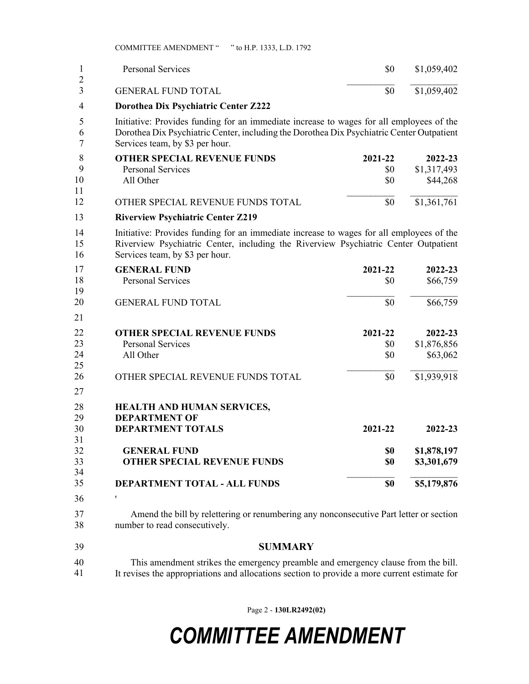COMMITTEE AMENDMENT " " to H.P. 1333, L.D. 1792

| 1                   | <b>Personal Services</b>                                                                                                                                                                                                 | \$0     | \$1,059,402 |  |
|---------------------|--------------------------------------------------------------------------------------------------------------------------------------------------------------------------------------------------------------------------|---------|-------------|--|
| $\overline{2}$<br>3 | <b>GENERAL FUND TOTAL</b>                                                                                                                                                                                                | \$0     | \$1,059,402 |  |
| $\overline{4}$      | Dorothea Dix Psychiatric Center Z222                                                                                                                                                                                     |         |             |  |
| 5<br>6<br>7         | Initiative: Provides funding for an immediate increase to wages for all employees of the<br>Dorothea Dix Psychiatric Center, including the Dorothea Dix Psychiatric Center Outpatient<br>Services team, by \$3 per hour. |         |             |  |
| 8                   | <b>OTHER SPECIAL REVENUE FUNDS</b>                                                                                                                                                                                       | 2021-22 | 2022-23     |  |
| 9                   | <b>Personal Services</b>                                                                                                                                                                                                 | \$0     | \$1,317,493 |  |
| 10<br>11            | All Other                                                                                                                                                                                                                | \$0     | \$44,268    |  |
| 12                  | OTHER SPECIAL REVENUE FUNDS TOTAL                                                                                                                                                                                        | \$0     | \$1,361,761 |  |
| 13                  | <b>Riverview Psychiatric Center Z219</b>                                                                                                                                                                                 |         |             |  |
| 14<br>15<br>16      | Initiative: Provides funding for an immediate increase to wages for all employees of the<br>Riverview Psychiatric Center, including the Riverview Psychiatric Center Outpatient<br>Services team, by \$3 per hour.       |         |             |  |
| 17                  | <b>GENERAL FUND</b>                                                                                                                                                                                                      | 2021-22 | 2022-23     |  |
| 18<br>19            | <b>Personal Services</b>                                                                                                                                                                                                 | \$0     | \$66,759    |  |
| 20                  | <b>GENERAL FUND TOTAL</b>                                                                                                                                                                                                | \$0     | \$66,759    |  |
| 21                  |                                                                                                                                                                                                                          |         |             |  |
| 22                  | <b>OTHER SPECIAL REVENUE FUNDS</b>                                                                                                                                                                                       | 2021-22 | 2022-23     |  |
| 23                  | <b>Personal Services</b>                                                                                                                                                                                                 | \$0     | \$1,876,856 |  |
| 24<br>25            | All Other                                                                                                                                                                                                                | \$0     | \$63,062    |  |
| 26                  | OTHER SPECIAL REVENUE FUNDS TOTAL                                                                                                                                                                                        | \$0     | \$1,939,918 |  |
| 27                  |                                                                                                                                                                                                                          |         |             |  |
| 28<br>29            | HEALTH AND HUMAN SERVICES,<br><b>DEPARTMENT OF</b>                                                                                                                                                                       |         |             |  |
| 30                  | <b>DEPARTMENT TOTALS</b>                                                                                                                                                                                                 | 2021-22 | 2022-23     |  |
| 31                  |                                                                                                                                                                                                                          |         |             |  |
| 32                  | <b>GENERAL FUND</b>                                                                                                                                                                                                      | \$0     | \$1,878,197 |  |
| 33                  | <b>OTHER SPECIAL REVENUE FUNDS</b>                                                                                                                                                                                       | \$0     | \$3,301,679 |  |
| 34                  |                                                                                                                                                                                                                          |         |             |  |
| 35                  | <b>DEPARTMENT TOTAL - ALL FUNDS</b>                                                                                                                                                                                      | \$0     | \$5,179,876 |  |
| 36                  | ,                                                                                                                                                                                                                        |         |             |  |
| 37<br>38            | Amend the bill by relettering or renumbering any nonconsecutive Part letter or section<br>number to read consecutively.                                                                                                  |         |             |  |
| 39                  | <b>SUMMARY</b>                                                                                                                                                                                                           |         |             |  |
| 40                  | This amendment strikes the emergency preamble and emergency clause from the bill.                                                                                                                                        |         |             |  |
| 41                  | It revises the appropriations and allocations section to provide a more current estimate for                                                                                                                             |         |             |  |

Page 2 - **130LR2492(02)**

## *COMMITTEE AMENDMENT*